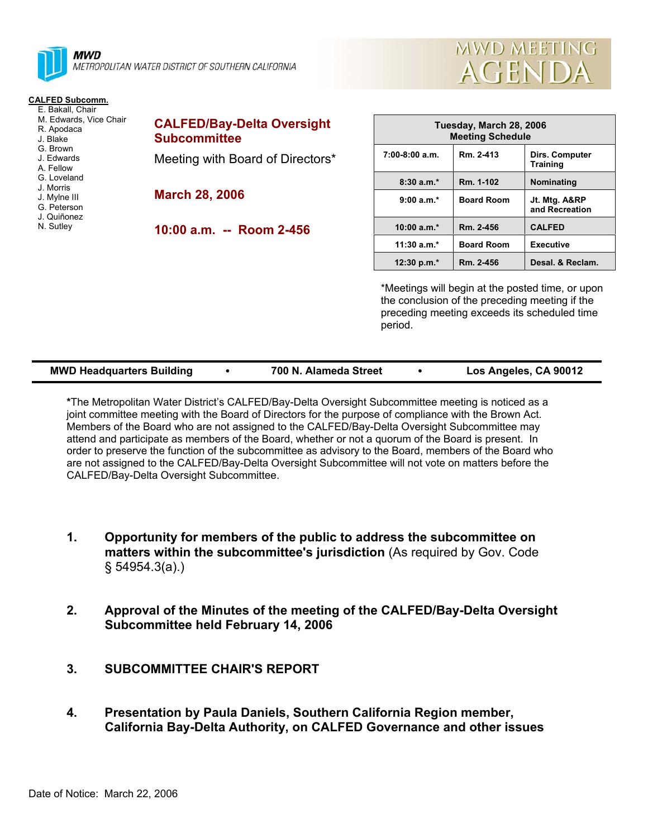



#### **CALFED Subcomm.**

| E. Bakall. Chair<br>M. Edwards, Vice Chair<br>R. Apodaca<br>J. Blake<br>G. Brown | <b>CALFED/Bay-Delta Oversight</b><br><b>Subcommittee</b> |
|----------------------------------------------------------------------------------|----------------------------------------------------------|
| J. Edwards<br>A. Fellow<br>G. Loveland<br>J. Morris                              | Meeting with Board of Directors*                         |
| J. Mylne III<br>G. Peterson<br>J. Quiñonez                                       | <b>March 28, 2006</b>                                    |
| N. Sutley                                                                        | 10:00 a.m. -- Room 2-456                                 |

| Tuesday, March 28, 2006<br><b>Meeting Schedule</b> |                   |                                   |  |  |  |  |
|----------------------------------------------------|-------------------|-----------------------------------|--|--|--|--|
| $7:00-8:00$ a.m.                                   | Rm. 2-413         | Dirs. Computer<br><b>Training</b> |  |  |  |  |
| $8:30a.m.*$                                        | Rm. 1-102         | Nominating                        |  |  |  |  |
| $9:00a.m.*$                                        | <b>Board Room</b> | Jt. Mtg. A&RP<br>and Recreation   |  |  |  |  |
| 10:00 $a.m.*$                                      | Rm. 2-456         | <b>CALFED</b>                     |  |  |  |  |
| $11:30 a.m.*$                                      | <b>Board Room</b> | <b>Executive</b>                  |  |  |  |  |
| 12:30 p.m. $*$                                     | Rm. 2-456         | Desal. & Reclam.                  |  |  |  |  |

\*Meetings will begin at the posted time, or upon the conclusion of the preceding meeting if the preceding meeting exceeds its scheduled time period.

|  | <b>MWD Headquarters Building</b> |  | 700 N. Alameda Street |  | Los Angeles, CA 90012 |
|--|----------------------------------|--|-----------------------|--|-----------------------|
|--|----------------------------------|--|-----------------------|--|-----------------------|

**\***The Metropolitan Water District's CALFED/Bay-Delta Oversight Subcommittee meeting is noticed as a joint committee meeting with the Board of Directors for the purpose of compliance with the Brown Act. Members of the Board who are not assigned to the CALFED/Bay-Delta Oversight Subcommittee may attend and participate as members of the Board, whether or not a quorum of the Board is present. In order to preserve the function of the subcommittee as advisory to the Board, members of the Board who are not assigned to the CALFED/Bay-Delta Oversight Subcommittee will not vote on matters before the CALFED/Bay-Delta Oversight Subcommittee.

- **1. Opportunity for members of the public to address the subcommittee on matters within the subcommittee's jurisdiction** (As required by Gov. Code § 54954.3(a).)
- **2. Approval of the Minutes of the meeting of the CALFED/Bay-Delta Oversight Subcommittee held February 14, 2006**
- **3. SUBCOMMITTEE CHAIR'S REPORT**
- **4. Presentation by Paula Daniels, Southern California Region member, California Bay-Delta Authority, on CALFED Governance and other issues**